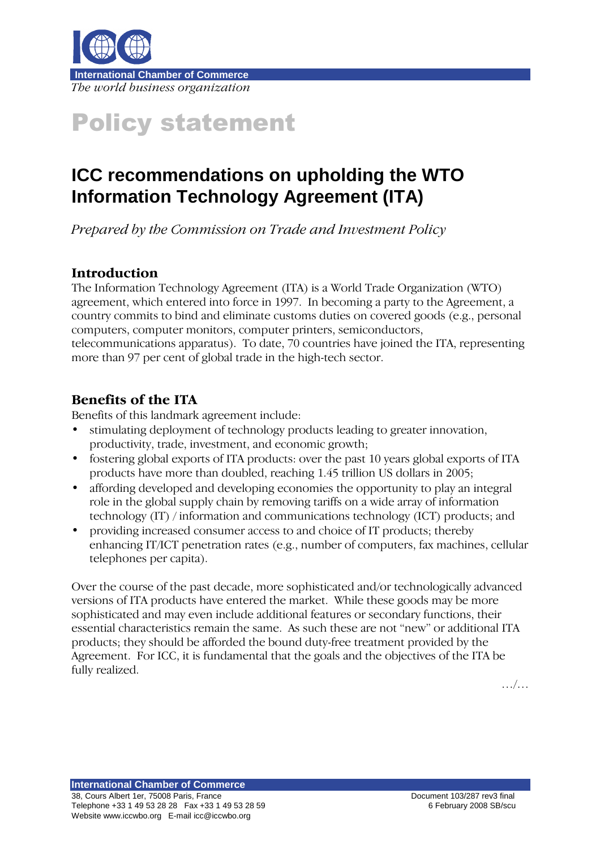

# Policy statement

## **ICC recommendations on upholding the WTO Information Technology Agreement (ITA)**

Prepared by the Commission on Trade and Investment Policy

#### Introduction

The Information Technology Agreement (ITA) is a World Trade Organization (WTO) agreement, which entered into force in 1997. In becoming a party to the Agreement, a country commits to bind and eliminate customs duties on covered goods (e.g., personal computers, computer monitors, computer printers, semiconductors, telecommunications apparatus). To date, 70 countries have joined the ITA, representing

more than 97 per cent of global trade in the high-tech sector.

### Benefits of the ITA

Benefits of this landmark agreement include:

- stimulating deployment of technology products leading to greater innovation, productivity, trade, investment, and economic growth;
- fostering global exports of ITA products: over the past 10 years global exports of ITA products have more than doubled, reaching 1.45 trillion US dollars in 2005;
- affording developed and developing economies the opportunity to play an integral role in the global supply chain by removing tariffs on a wide array of information technology (IT) / information and communications technology (ICT) products; and
- providing increased consumer access to and choice of IT products; thereby enhancing IT/ICT penetration rates (e.g., number of computers, fax machines, cellular telephones per capita).

Over the course of the past decade, more sophisticated and/or technologically advanced versions of ITA products have entered the market. While these goods may be more sophisticated and may even include additional features or secondary functions, their essential characteristics remain the same. As such these are not "new" or additional ITA products; they should be afforded the bound duty-free treatment provided by the Agreement. For ICC, it is fundamental that the goals and the objectives of the ITA be fully realized.

…/…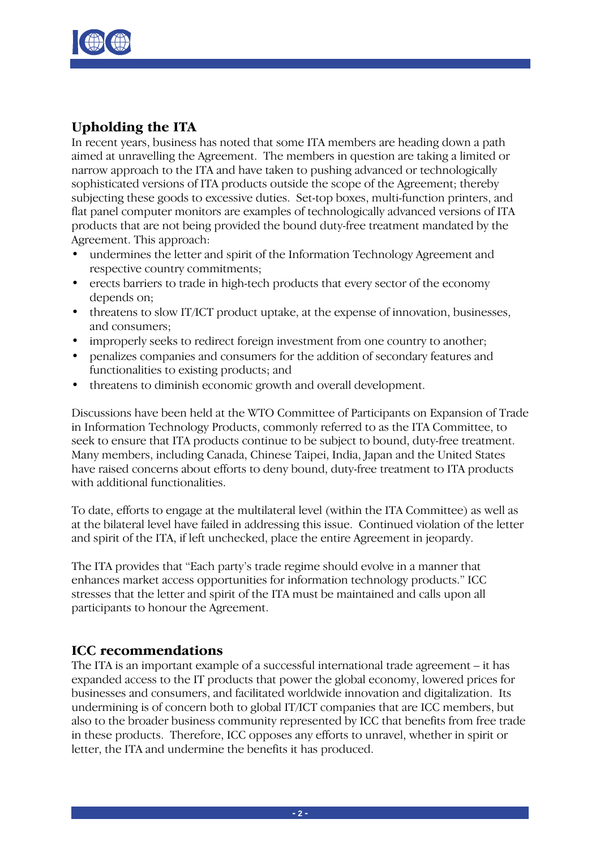

#### Upholding the ITA

In recent years, business has noted that some ITA members are heading down a path aimed at unravelling the Agreement. The members in question are taking a limited or narrow approach to the ITA and have taken to pushing advanced or technologically sophisticated versions of ITA products outside the scope of the Agreement; thereby subjecting these goods to excessive duties. Set-top boxes, multi-function printers, and flat panel computer monitors are examples of technologically advanced versions of ITA products that are not being provided the bound duty-free treatment mandated by the Agreement. This approach:

- undermines the letter and spirit of the Information Technology Agreement and respective country commitments;
- erects barriers to trade in high-tech products that every sector of the economy depends on;
- threatens to slow IT/ICT product uptake, at the expense of innovation, businesses, and consumers;
- improperly seeks to redirect foreign investment from one country to another;
- penalizes companies and consumers for the addition of secondary features and functionalities to existing products; and
- threatens to diminish economic growth and overall development.

Discussions have been held at the WTO Committee of Participants on Expansion of Trade in Information Technology Products, commonly referred to as the ITA Committee, to seek to ensure that ITA products continue to be subject to bound, duty-free treatment. Many members, including Canada, Chinese Taipei, India, Japan and the United States have raised concerns about efforts to deny bound, duty-free treatment to ITA products with additional functionalities.

To date, efforts to engage at the multilateral level (within the ITA Committee) as well as at the bilateral level have failed in addressing this issue. Continued violation of the letter and spirit of the ITA, if left unchecked, place the entire Agreement in jeopardy.

The ITA provides that "Each party's trade regime should evolve in a manner that enhances market access opportunities for information technology products." ICC stresses that the letter and spirit of the ITA must be maintained and calls upon all participants to honour the Agreement.

#### ICC recommendations

The ITA is an important example of a successful international trade agreement – it has expanded access to the IT products that power the global economy, lowered prices for businesses and consumers, and facilitated worldwide innovation and digitalization. Its undermining is of concern both to global IT/ICT companies that are ICC members, but also to the broader business community represented by ICC that benefits from free trade in these products. Therefore, ICC opposes any efforts to unravel, whether in spirit or letter, the ITA and undermine the benefits it has produced.